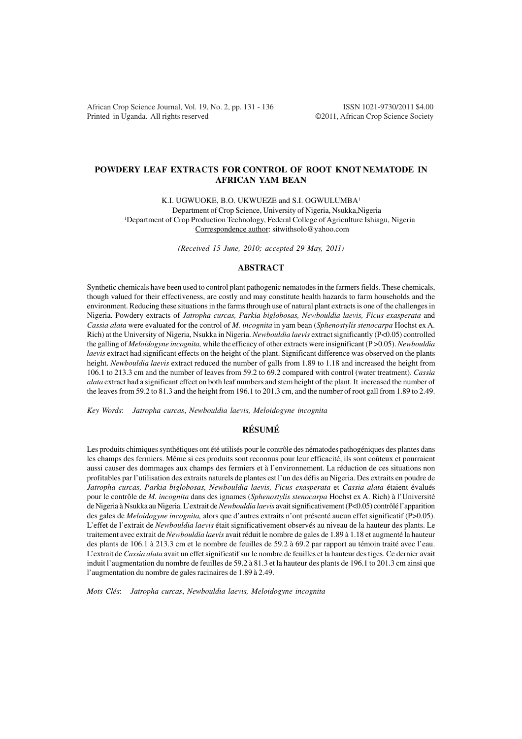African Crop Science Journal, Vol. 19, No. 2, pp. 131 - 136 ISSN 1021-9730/2011 \$4.00 Printed in Uganda. All rights reserved ©2011, African Crop Science Society

# **POWDERY LEAF EXTRACTS FOR CONTROL OF ROOT KNOT NEMATODE IN AFRICAN YAM BEAN**

K.I. UGWUOKE, B.O. UKWUEZE and S.I. OGWULUMBA<sup>1</sup>

Department of Crop Science, University of Nigeria, Nsukka,Nigeria <sup>1</sup>Department of Crop Production Technology, Federal College of Agriculture Ishiagu, Nigeria Correspondence author: sitwithsolo@yahoo.com

*(Received 15 June, 2010; accepted 29 May, 2011)*

# **ABSTRACT**

Synthetic chemicals have been used to control plant pathogenic nematodes in the farmers fields. These chemicals, though valued for their effectiveness, are costly and may constitute health hazards to farm households and the environment. Reducing these situations in the farms through use of natural plant extracts is one of the challenges in Nigeria. Powdery extracts of *Jatropha curcas, Parkia biglobosas, Newbouldia laevis, Ficus exasperata* and *Cassia alata* were evaluated for the control of *M. incognita* in yam bean (*Sphenostylis stenocarpa* Hochst ex A. Rich) at the University of Nigeria, Nsukka in Nigeria. *Newbouldia laevis* extract significantly (P<0.05) controlled the galling of *Meloidogyne incognita,* while the efficacy of other extracts were insignificant (P >0.05). *Newbouldia laevis* extract had significant effects on the height of the plant. Significant difference was observed on the plants height. *Newbouldia laevis* extract reduced the number of galls from 1.89 to 1.18 and increased the height from 106.1 to 213.3 cm and the number of leaves from 59.2 to 69.2 compared with control (water treatment). *Cassia alata* extract had a significant effect on both leaf numbers and stem height of the plant. It increased the number of the leaves from 59.2 to 81.3 and the height from 196.1 to 201.3 cm, and the number of root gall from 1.89 to 2.49.

*Key Words*: *Jatropha curcas*, *Newbouldia laevis, Meloidogyne incognita*

## **RÉSUMÉ**

Les produits chimiques synthétiques ont été utilisés pour le contrôle des nématodes pathogéniques des plantes dans les champs des fermiers. Même si ces produits sont reconnus pour leur efficacité, ils sont coûteux et pourraient aussi causer des dommages aux champs des fermiers et à l'environnement. La réduction de ces situations non profitables par l'utilisation des extraits naturels de plantes est l'un des défis au Nigeria. Des extraits en poudre de *Jatropha curcas, Parkia biglobosas, Newbouldia laevis, Ficus exasperata* et *Cassia alata* étaient évalués pour le contrôle de *M. incognita* dans des ignames (*Sphenostylis stenocarpa* Hochst ex A. Rich) à l'Université de Nigeria à Nsukka au Nigeria. L'extrait de *Newbouldia laevis* avait significativement (P<0.05) contrôlé l'apparition des gales de *Meloidogyne incognita,* alors que d'autres extraits n'ont présenté aucun effet significatif (P>0.05). L'effet de l'extrait de *Newbouldia laevis* était significativement observés au niveau de la hauteur des plants. Le traitement avec extrait de *Newbouldia laevis* avait réduit le nombre de gales de 1.89 à 1.18 et augmenté la hauteur des plants de 106.1 à 213.3 cm et le nombre de feuilles de 59.2 à 69.2 par rapport au témoin traité avec l'eau. L'extrait de *Cassia alata* avait un effet significatif sur le nombre de feuilles et la hauteur des tiges. Ce dernier avait induit l'augmentation du nombre de feuilles de 59.2 à 81.3 et la hauteur des plants de 196.1 to 201.3 cm ainsi que l'augmentation du nombre de gales racinaires de 1.89 à 2.49.

*Mots Clés*: *Jatropha curcas*, *Newbouldia laevis, Meloidogyne incognita*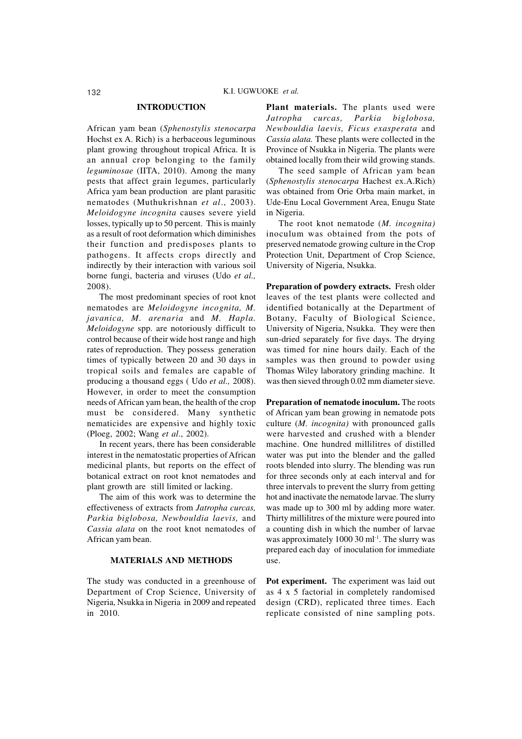#### **INTRODUCTION**

African yam bean (*Sphenostylis stenocarpa* Hochst ex A. Rich) is a herbaceous leguminous plant growing throughout tropical Africa. It is an annual crop belonging to the family *leguminosae* (IITA, 2010). Among the many pests that affect grain legumes, particularly Africa yam bean production are plant parasitic nematodes (Muthukrishnan *et al*., 2003). *Meloidogyne incognita* causes severe yield losses, typically up to 50 percent. This is mainly as a result of root deformation which diminishes their function and predisposes plants to pathogens. It affects crops directly and indirectly by their interaction with various soil borne fungi, bacteria and viruses (Udo *et al.,* 2008).

The most predominant species of root knot nematodes are *Meloidogyne incognita, M. javanica, M. arenaria* and *M. Hapla. Meloidogyne* spp. are notoriously difficult to control because of their wide host range and high rates of reproduction. They possess generation times of typically between 20 and 30 days in tropical soils and females are capable of producing a thousand eggs ( Udo *et al.,* 2008). However, in order to meet the consumption needs of African yam bean, the health of the crop must be considered. Many synthetic nematicides are expensive and highly toxic (Ploeg, 2002; Wang *et al*., 2002).

In recent years, there has been considerable interest in the nematostatic properties of African medicinal plants, but reports on the effect of botanical extract on root knot nematodes and plant growth are still limited or lacking.

The aim of this work was to determine the effectiveness of extracts from *Jatropha curcas, Parkia biglobosa, Newbouldia laevis,* and *Cassia alata* on the root knot nematodes of African yam bean.

### **MATERIALS AND METHODS**

The study was conducted in a greenhouse of Department of Crop Science, University of Nigeria, Nsukka in Nigeria in 2009 and repeated in 2010.

**Plant materials.** The plants used were *Jatropha curcas, Parkia biglobosa, Newbouldia laevis, Ficus exasperata* and *Cassia alata.* These plants were collected in the Province of Nsukka in Nigeria. The plants were obtained locally from their wild growing stands.

The seed sample of African yam bean (*Sphenostylis stenocarpa* Hachest ex.A.Rich) was obtained from Orie Orba main market, in Ude-Enu Local Government Area, Enugu State in Nigeria.

The root knot nematode (*M. incognita)* inoculum was obtained from the pots of preserved nematode growing culture in the Crop Protection Unit, Department of Crop Science, University of Nigeria, Nsukka.

**Preparation of powdery extracts.** Fresh older leaves of the test plants were collected and identified botanically at the Department of Botany, Faculty of Biological Science, University of Nigeria, Nsukka. They were then sun-dried separately for five days. The drying was timed for nine hours daily. Each of the samples was then ground to powder using Thomas Wiley laboratory grinding machine. It was then sieved through 0.02 mm diameter sieve.

**Preparation of nematode inoculum.** The roots of African yam bean growing in nematode pots culture (*M. incognita)* with pronounced galls were harvested and crushed with a blender machine. One hundred millilitres of distilled water was put into the blender and the galled roots blended into slurry. The blending was run for three seconds only at each interval and for three intervals to prevent the slurry from getting hot and inactivate the nematode larvae. The slurry was made up to 300 ml by adding more water. Thirty millilitres of the mixture were poured into a counting dish in which the number of larvae was approximately  $100030$  ml<sup>-1</sup>. The slurry was prepared each day of inoculation for immediate use.

**Pot experiment.** The experiment was laid out as 4 x 5 factorial in completely randomised design (CRD), replicated three times. Each replicate consisted of nine sampling pots.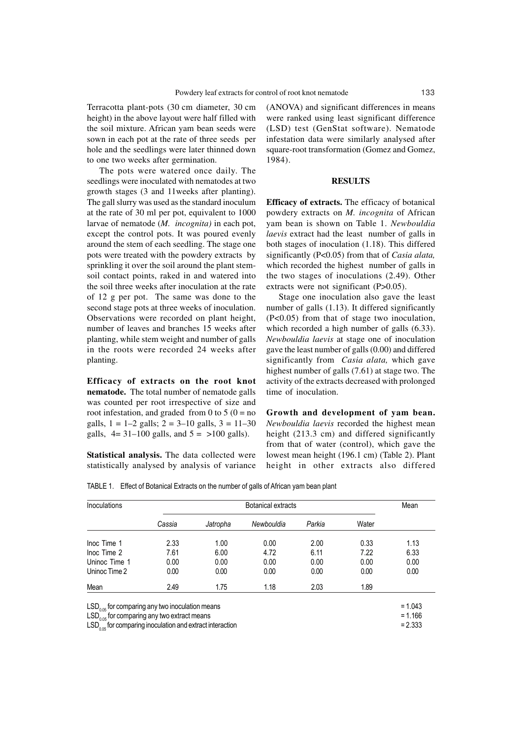Terracotta plant-pots (30 cm diameter, 30 cm height) in the above layout were half filled with the soil mixture. African yam bean seeds were sown in each pot at the rate of three seeds per hole and the seedlings were later thinned down to one two weeks after germination.

The pots were watered once daily. The seedlings were inoculated with nematodes at two growth stages (3 and 11weeks after planting). The gall slurry was used as the standard inoculum at the rate of 30 ml per pot, equivalent to 1000 larvae of nematode (*M. incognita)* in each pot, except the control pots. It was poured evenly around the stem of each seedling. The stage one pots were treated with the powdery extracts by sprinkling it over the soil around the plant stemsoil contact points, raked in and watered into the soil three weeks after inoculation at the rate of 12 g per pot. The same was done to the second stage pots at three weeks of inoculation. Observations were recorded on plant height, number of leaves and branches 15 weeks after planting, while stem weight and number of galls in the roots were recorded 24 weeks after planting.

**Efficacy of extracts on the root knot nematode.** The total number of nematode galls was counted per root irrespective of size and root infestation, and graded from 0 to 5 ( $0 = no$ galls,  $1 = 1-2$  galls;  $2 = 3-10$  galls,  $3 = 11-30$ galls,  $4 = 31 - 100$  galls, and  $5 = 100$  galls).

**Statistical analysis.** The data collected were statistically analysed by analysis of variance (ANOVA) and significant differences in means were ranked using least significant difference (LSD) test (GenStat software). Nematode infestation data were similarly analysed after square-root transformation (Gomez and Gomez, 1984).

### **RESULTS**

**Efficacy of extracts.** The efficacy of botanical powdery extracts on *M. incognita* of African yam bean is shown on Table 1. *Newbouldia laevis* extract had the least number of galls in both stages of inoculation (1.18). This differed significantly (P<0.05) from that of *Casia alata,* which recorded the highest number of galls in the two stages of inoculations (2.49). Other extracts were not significant (P>0.05).

Stage one inoculation also gave the least number of galls (1.13). It differed significantly (P<0.05) from that of stage two inoculation, which recorded a high number of galls (6.33). *Newbouldia laevis* at stage one of inoculation gave the least number of galls (0.00) and differed significantly from *Casia alata,* which gave highest number of galls (7.61) at stage two. The activity of the extracts decreased with prolonged time of inoculation.

**Growth and development of yam bean.** *Newbouldia laevis* recorded the highest mean height (213.3 cm) and differed significantly from that of water (control), which gave the lowest mean height (196.1 cm) (Table 2). Plant height in other extracts also differed

TABLE 1. Effect of Botanical Extracts on the number of galls of African yam bean plant

| Inoculations                                      | <b>Botanical extracts</b> |          |            |        |       |           |  |
|---------------------------------------------------|---------------------------|----------|------------|--------|-------|-----------|--|
|                                                   | Cassia                    | Jatropha | Newbouldia | Parkia | Water |           |  |
| Inoc Time 1                                       | 2.33                      | 1.00     | 0.00       | 2.00   | 0.33  | 1.13      |  |
| Inoc Time 2                                       | 7.61                      | 6.00     | 4.72       | 6.11   | 7.22  | 6.33      |  |
| Uninoc Time 1                                     | 0.00                      | 0.00     | 0.00       | 0.00   | 0.00  | 0.00      |  |
| Uninoc Time 2                                     | 0.00                      | 0.00     | 0.00       | 0.00   | 0.00  | 0.00      |  |
| Mean                                              | 2.49                      | 1.75     | 1.18       | 2.03   | 1.89  |           |  |
| $LSD0.05$ for comparing any two inoculation means |                           |          |            |        |       |           |  |
| $LSD0.05$ for comparing any two extract means     |                           |          |            |        |       | $= 1.166$ |  |

 $LSD<sub>osc</sub>$  for comparing inoculation and extract interaction  $= 2.333$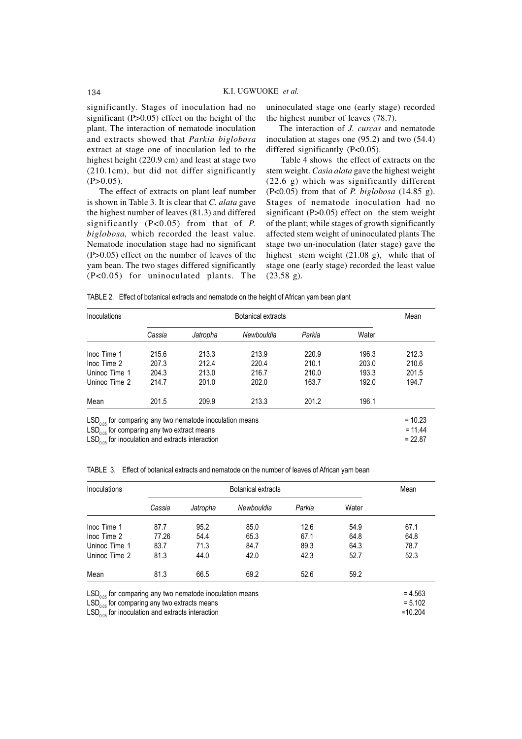significantly. Stages of inoculation had no significant (P>0.05) effect on the height of the plant. The interaction of nematode inoculation and extracts showed that *Parkia biglobosa* extract at stage one of inoculation led to the highest height (220.9 cm) and least at stage two (210.1cm), but did not differ significantly  $(P>0.05)$ .

The effect of extracts on plant leaf number is shown in Table 3. It is clear that *C. alata* gave the highest number of leaves (81.3) and differed significantly (P<0.05) from that of *P. biglobosa,* which recorded the least value. Nematode inoculation stage had no significant (P>0.05) effect on the number of leaves of the yam bean. The two stages differed significantly (P<0.05) for uninoculated plants. The

uninoculated stage one (early stage) recorded the highest number of leaves (78.7).

The interaction of *J. curcas* and nematode inoculation at stages one (95.2) and two (54.4) differed significantly (P<0.05).

Table 4 shows the effect of extracts on the stem weight. *Casia alata* gave the highest weight (22.6 g) which was significantly different (P<0.05) from that of *P. biglobosa* (14.85 g). Stages of nematode inoculation had no significant (P>0.05) effect on the stem weight of the plant; while stages of growth significantly affected stem weight of uninoculated plants The stage two un-inoculation (later stage) gave the highest stem weight (21.08 g), while that of stage one (early stage) recorded the least value  $(23.58 \text{ g}).$ 

|  |  | TABLE 2. Effect of botanical extracts and nematode on the height of African yam bean plant |
|--|--|--------------------------------------------------------------------------------------------|
|  |  |                                                                                            |

| Inoculations                                                                                                |        | Mean     |            |        |       |       |
|-------------------------------------------------------------------------------------------------------------|--------|----------|------------|--------|-------|-------|
|                                                                                                             | Cassia | Jatropha | Newbouldia | Parkia | Water |       |
| Inoc Time 1                                                                                                 | 215.6  | 213.3    | 213.9      | 220.9  | 196.3 | 212.3 |
| Inoc Time 2                                                                                                 | 207.3  | 212.4    | 220.4      | 210.1  | 203.0 | 210.6 |
| Uninoc Time 1                                                                                               | 204.3  | 213.0    | 216.7      | 210.0  | 193.3 | 201.5 |
| Uninoc Time 2                                                                                               | 214.7  | 201.0    | 202.0      | 163.7  | 192.0 | 194.7 |
| Mean                                                                                                        | 201.5  | 209.9    | 213.3      | 201.2  | 196.1 |       |
| $LSD0.05$ for comparing any two nematode inoculation means<br>$LSD0.05$ for comparing any two extract means |        |          |            |        |       |       |

 $\text{LSD}_{\text{obs}}^{\text{max}}$  for inoculation and extracts interaction  $= 22.87$ 

TABLE 3. Effect of botanical extracts and nematode on the number of leaves of African yam bean

| Inoculations  |        | Mean     |            |        |       |      |
|---------------|--------|----------|------------|--------|-------|------|
|               | Cassia | Jatropha | Newbouldia | Parkia | Water |      |
| Inoc Time 1   | 87.7   | 95.2     | 85.0       | 12.6   | 54.9  | 67.1 |
| Inoc Time 2   | 77.26  | 54.4     | 65.3       | 67.1   | 64.8  | 64.8 |
| Uninoc Time 1 | 83.7   | 71.3     | 84.7       | 89.3   | 64.3  | 78.7 |
| Uninoc Time 2 | 81.3   | 44.0     | 42.0       | 42.3   | 52.7  | 52.3 |
| Mean          | 81.3   | 66.5     | 69.2       | 52.6   | 59.2  |      |

 $LSD_{0.05}$  for comparing any two nematode inoculation means  $= 4.563$ <br> $LSD_{0.05}$  for comparing any two extracts means  $= 5.102$ 

 $LSD<sub>0.05</sub>$  for comparing any two extracts means  $= 5.102$ <br> $LSD<sub>0.5</sub>$  for inoculation and extracts interaction

 $LSD<sub>0.05</sub>$  for inoculation and extracts interaction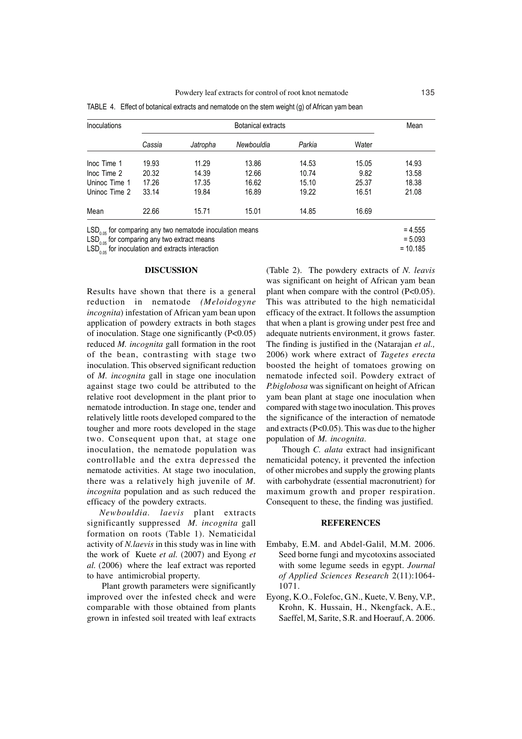| Inoculations  | <b>Botanical extracts</b> |          |            |        |       |       |  |
|---------------|---------------------------|----------|------------|--------|-------|-------|--|
|               | Cassia                    | Jatropha | Newbouldia | Parkia | Water |       |  |
| Inoc Time 1   | 19.93                     | 11.29    | 13.86      | 14.53  | 15.05 | 14.93 |  |
| Inoc Time 2   | 20.32                     | 14.39    | 12.66      | 10.74  | 9.82  | 13.58 |  |
| Uninoc Time 1 | 17.26                     | 17.35    | 16.62      | 15.10  | 25.37 | 18.38 |  |
| Uninoc Time 2 | 33.14                     | 19.84    | 16.89      | 19.22  | 16.51 | 21.08 |  |
| Mean          | 22.66                     | 15.71    | 15.01      | 14.85  | 16.69 |       |  |

TABLE 4. Effect of botanical extracts and nematode on the stem weight (g) of African yam bean

 $LSD_{0.05}$  for comparing any two nematode inoculation means  $= 4.555$ <br> $LSD...$  for comparing any two extract means

 $\text{LSD}_{0.05}^{\bullet}$  for comparing any two extract means  $= 5.093$ <br> $\text{LSD}_{0.5}$  for inoculation and extracts interaction

 $LSD<sub>0.05</sub>$  for inoculation and extracts interaction

#### **DISCUSSION**

Results have shown that there is a general reduction in nematode *(Meloidogyne incognita*) infestation of African yam bean upon application of powdery extracts in both stages of inoculation. Stage one significantly (P<0.05) reduced *M. incognita* gall formation in the root of the bean, contrasting with stage two inoculation. This observed significant reduction of *M. incognita* gall in stage one inoculation against stage two could be attributed to the relative root development in the plant prior to nematode introduction. In stage one, tender and relatively little roots developed compared to the tougher and more roots developed in the stage two. Consequent upon that, at stage one inoculation, the nematode population was controllable and the extra depressed the nematode activities. At stage two inoculation, there was a relatively high juvenile of *M. incognita* population and as such reduced the efficacy of the powdery extracts.

*Newbouldia. laevis* plant extracts significantly suppressed *M. incognita* gall formation on roots (Table 1). Nematicidal activity of *N.laevis* in this study was in line with the work of Kuete *et al.* (2007) and Eyong *et al.* (2006) where the leaf extract was reported to have antimicrobial property.

 Plant growth parameters were significantly improved over the infested check and were comparable with those obtained from plants grown in infested soil treated with leaf extracts

(Table 2). The powdery extracts of *N. leavis* was significant on height of African yam bean plant when compare with the control  $(P<0.05)$ . This was attributed to the high nematicidal efficacy of the extract. It follows the assumption that when a plant is growing under pest free and adequate nutrients environment, it grows faster. The finding is justified in the (Natarajan *et al.,* 2006) work where extract of *Tagetes erecta* boosted the height of tomatoes growing on nematode infected soil. Powdery extract of *P.biglobosa* was significant on height of African yam bean plant at stage one inoculation when compared with stage two inoculation. This proves the significance of the interaction of nematode and extracts (P<0.05). This was due to the higher population of *M. incognita*.

 Though *C. alata* extract had insignificant nematicidal potency, it prevented the infection of other microbes and supply the growing plants with carbohydrate (essential macronutrient) for maximum growth and proper respiration. Consequent to these, the finding was justified.

## **REFERENCES**

- Embaby, E.M. and Abdel-Galil, M.M. 2006. Seed borne fungi and mycotoxins associated with some legume seeds in egypt. *Journal of Applied Sciences Research* 2(11):1064- 1071.
- Eyong, K.O., Folefoc, G.N., Kuete, V. Beny, V.P., Krohn, K. Hussain, H., Nkengfack, A.E., Saeffel, M, Sarite, S.R. and Hoerauf, A. 2006.